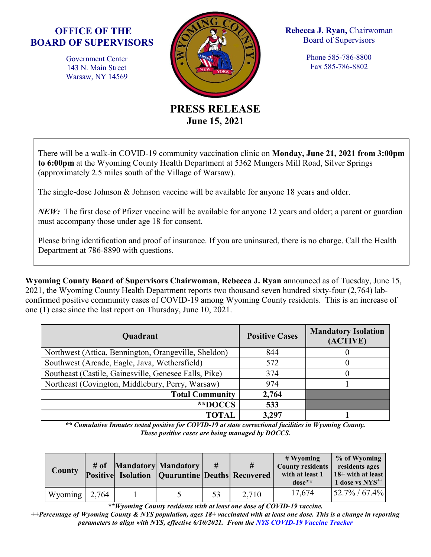## **OFFICE OF THE BOARD OF SUPERVISORS**

Government Center 143 N. Main Street Warsaw, NY 14569



**Rebecca J. Ryan,** Chairwoman Board of Supervisors

> Phone 585-786-8800 Fax 585-786-8802

**PRESS RELEASE June 15, 2021**

There will be a walk-in COVID-19 community vaccination clinic on **Monday, June 21, 2021 from 3:00pm to 6:00pm** at the Wyoming County Health Department at 5362 Mungers Mill Road, Silver Springs (approximately 2.5 miles south of the Village of Warsaw).

The single-dose Johnson & Johnson vaccine will be available for anyone 18 years and older.

*NEW:* The first dose of Pfizer vaccine will be available for anyone 12 years and older; a parent or guardian must accompany those under age 18 for consent.

Please bring identification and proof of insurance. If you are uninsured, there is no charge. Call the Health Department at 786-8890 with questions.

**Wyoming County Board of Supervisors Chairwoman, Rebecca J. Ryan** announced as of Tuesday, June 15, 2021, the Wyoming County Health Department reports two thousand seven hundred sixty-four (2,764) labconfirmed positive community cases of COVID-19 among Wyoming County residents. This is an increase of one (1) case since the last report on Thursday, June 10, 2021.

| <b>Quadrant</b>                                       | <b>Positive Cases</b> | <b>Mandatory Isolation</b><br>(ACTIVE) |  |  |
|-------------------------------------------------------|-----------------------|----------------------------------------|--|--|
| Northwest (Attica, Bennington, Orangeville, Sheldon)  | 844                   |                                        |  |  |
| Southwest (Arcade, Eagle, Java, Wethersfield)         | 572                   |                                        |  |  |
| Southeast (Castile, Gainesville, Genesee Falls, Pike) | 374                   |                                        |  |  |
| Northeast (Covington, Middlebury, Perry, Warsaw)      | 974                   |                                        |  |  |
| <b>Total Community</b>                                | 2,764                 |                                        |  |  |
| **DOCCS*                                              | 533                   |                                        |  |  |
| TOTAL                                                 | 3,297                 |                                        |  |  |

*\*\* Cumulative Inmates tested positive for COVID-19 at state correctional facilities in Wyoming County. These positive cases are being managed by DOCCS.*

| <b>County</b>               | # of | <b>Mandatory Mandatory</b><br><b>Positive Isolation   Quarantine Deaths Recovered</b> | #  | #     | $#$ Wyoming<br><b>County residents</b><br>with at least 1<br>$dose**$ | % of Wyoming<br>residents ages<br>$18 +$ with at least<br>1 dose vs NYS <sup>++</sup> |
|-----------------------------|------|---------------------------------------------------------------------------------------|----|-------|-----------------------------------------------------------------------|---------------------------------------------------------------------------------------|
| Wyoming $\vert 2,764 \vert$ |      |                                                                                       | 53 | 2,710 | 17,674                                                                | $52.7\% / 67.4\%$                                                                     |

*\*\*Wyoming County residents with at least one dose of COVID-19 vaccine.*

*++Percentage of Wyoming County & NYS population, ages 18+ vaccinated with at least one dose. This is a change in reporting parameters to align with NYS, effective 6/10/2021. From the NYS [COVID-19 Vaccine Tracker](https://covid19vaccine.health.ny.gov/covid-19-vaccine-tracker)*